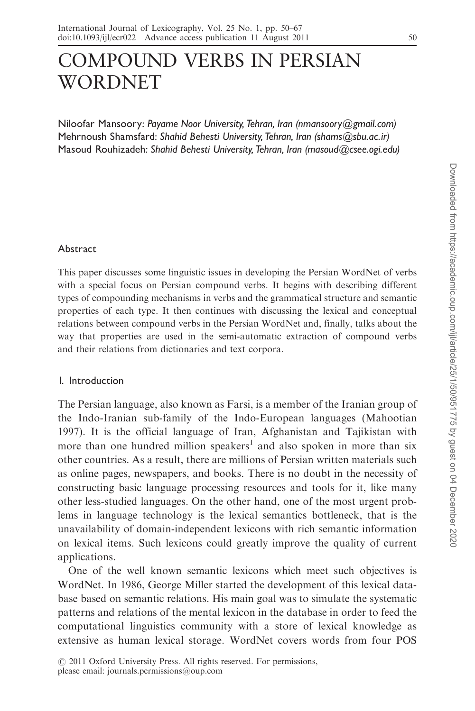# COMPOUND VERBS IN PERSIAN **WORDNET**

Niloofar Mansoory: Payame Noor University, Tehran, Iran (nmansoory@gmail.com) Mehrnoush Shamsfard: Shahid Behesti University, Tehran, Iran (shams@sbu.ac.ir) Masoud Rouhizadeh: Shahid Behesti University, Tehran, Iran (masoud@csee.ogi.edu)

# Abstract

This paper discusses some linguistic issues in developing the Persian WordNet of verbs with a special focus on Persian compound verbs. It begins with describing different types of compounding mechanisms in verbs and the grammatical structure and semantic properties of each type. It then continues with discussing the lexical and conceptual relations between compound verbs in the Persian WordNet and, finally, talks about the way that properties are used in the semi-automatic extraction of compound verbs and their relations from dictionaries and text corpora.

## 1. Introduction

The Persian language, also known as Farsi, is a member of the Iranian group of the Indo-Iranian sub-family of the Indo-European languages ([Mahootian](#page-16-0) [1997\)](#page-16-0). It is the official language of Iran, Afghanistan and Tajikistan with more than one hundred million speakers<sup>1</sup> and also spoken in more than six other countries. As a result, there are millions of Persian written materials such as online pages, newspapers, and books. There is no doubt in the necessity of constructing basic language processing resources and tools for it, like many other less-studied languages. On the other hand, one of the most urgent problems in language technology is the lexical semantics bottleneck, that is the unavailability of domain-independent lexicons with rich semantic information on lexical items. Such lexicons could greatly improve the quality of current applications.

One of the well known semantic lexicons which meet such objectives is WordNet. In 1986, George Miller started the development of this lexical database based on semantic relations. His main goal was to simulate the systematic patterns and relations of the mental lexicon in the database in order to feed the computational linguistics community with a store of lexical knowledge as extensive as human lexical storage. WordNet covers words from four POS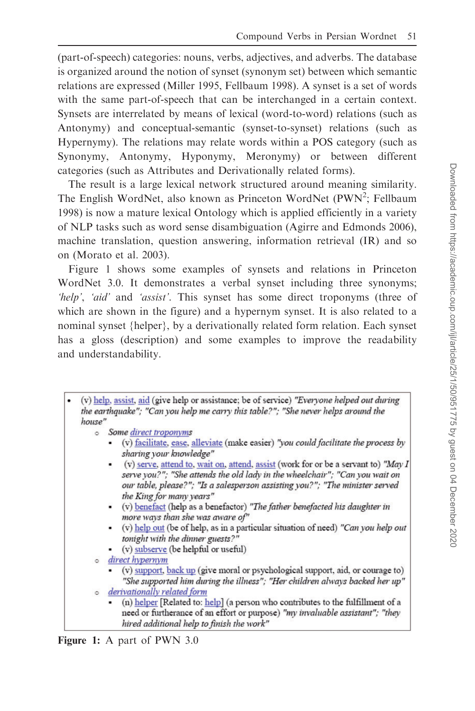(part-of-speech) categories: nouns, verbs, adjectives, and adverbs. The database is organized around the notion of synset (synonym set) between which semantic relations are expressed ([Miller 1995](#page-16-0), [Fellbaum 1998\)](#page-16-0). A synset is a set of words with the same part-of-speech that can be interchanged in a certain context. Synsets are interrelated by means of lexical (word-to-word) relations (such as Antonymy) and conceptual-semantic (synset-to-synset) relations (such as Hypernymy). The relations may relate words within a POS category (such as Synonymy, Antonymy, Hyponymy, Meronymy) or between different categories (such as Attributes and Derivationally related forms).

The result is a large lexical network structured around meaning similarity. The English WordNet, also known as Princeton WordNet (PWN<sup>2</sup>; [Fellbaum](#page-16-0) [1998\)](#page-16-0) is now a mature lexical Ontology which is applied efficiently in a variety of NLP tasks such as word sense disambiguation ([Agirre and Edmonds 2006](#page-15-0)), machine translation, question answering, information retrieval (IR) and so on (Morato et al. 2003).

Figure 1 shows some examples of synsets and relations in Princeton WordNet 3.0. It demonstrates a verbal synset including three synonyms; 'help', 'aid' and 'assist'. This synset has some direct troponyms (three of which are shown in the figure) and a hypernym synset. It is also related to a nominal synset {helper}, by a derivationally related form relation. Each synset has a gloss (description) and some examples to improve the readability and understandability.

- (v) help, assist, aid (give help or assistance; be of service) "Everyone helped out during the earthquake"; "Can you help me carry this table?"; "She never helps around the house"
	- Some direct troponyms
		- (v) facilitate, ease, alleviate (make easier) "you could facilitate the process by sharing your knowledge"
		- (v) serve, attend to, wait on, attend, assist (work for or be a servant to) "May I serve you?"; "She attends the old lady in the wheelchair"; "Can you wait on our table, please?"; "Is a salesperson assisting you?"; "The minister served the King for many years"
		- (v) benefact (help as a benefactor) "The father benefacted his daughter in more ways than she was aware of"
		- (v) help out (be of help, as in a particular situation of need) "Can you help out tonight with the dinner guests?"
		- (v) subserve (be helpful or useful)
	- o direct hypernym
		- (v) support, back up (give moral or psychological support, aid, or courage to) "She supported him during the illness"; "Her children always backed her up"
	- o derivationally related form
		- (n) helper [Related to: help] (a person who contributes to the fulfillment of a need or furtherance of an effort or purpose) "my invaluable assistant"; "they hired additional help to finish the work"

Figure 1: A part of PWN 3.0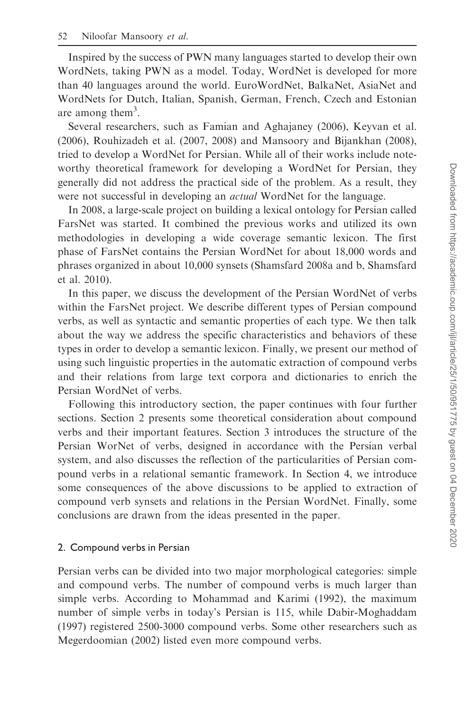Inspired by the success of PWN many languages started to develop their own WordNets, taking PWN as a model. Today, WordNet is developed for more than 40 languages around the world. EuroWordNet, BalkaNet, AsiaNet and WordNets for Dutch, Italian, Spanish, German, French, Czech and Estonian are among them<sup>3</sup>.

Several researchers, such as [Famian and Aghajaney \(2006\)](#page-16-0), [Keyvan et al.](#page-16-0) [\(2006\)](#page-16-0), Rouhizadeh et al. ([2007, 2008](#page-16-0)) and [Mansoory and Bijankhan \(2008\),](#page-16-0) tried to develop a WordNet for Persian. While all of their works include noteworthy theoretical framework for developing a WordNet for Persian, they generally did not address the practical side of the problem. As a result, they were not successful in developing an *actual* WordNet for the language.

In 2008, a large-scale project on building a lexical ontology for Persian called FarsNet was started. It combined the previous works and utilized its own methodologies in developing a wide coverage semantic lexicon. The first phase of FarsNet contains the Persian WordNet for about 18,000 words and phrases organized in about 10,000 synsets [\(Shamsfard 2008a](#page-17-0) and [b](#page-17-0), [Shamsfard](#page-17-0) [et al. 2010](#page-17-0)).

In this paper, we discuss the development of the Persian WordNet of verbs within the FarsNet project. We describe different types of Persian compound verbs, as well as syntactic and semantic properties of each type. We then talk about the way we address the specific characteristics and behaviors of these types in order to develop a semantic lexicon. Finally, we present our method of using such linguistic properties in the automatic extraction of compound verbs and their relations from large text corpora and dictionaries to enrich the Persian WordNet of verbs.

Following this introductory section, the paper continues with four further sections. Section 2 presents some theoretical consideration about compound verbs and their important features. Section 3 introduces the structure of the Persian WorNet of verbs, designed in accordance with the Persian verbal system, and also discusses the reflection of the particularities of Persian compound verbs in a relational semantic framework. In Section 4, we introduce some consequences of the above discussions to be applied to extraction of compound verb synsets and relations in the Persian WordNet. Finally, some conclusions are drawn from the ideas presented in the paper.

### 2. Compound verbs in Persian

Persian verbs can be divided into two major morphological categories: simple and compound verbs. The number of compound verbs is much larger than simple verbs. According to [Mohammad and Karimi \(1992\),](#page-16-0) the maximum number of simple verbs in today's Persian is 115, while [Dabir-Moghaddam](#page-16-0) [\(1997\)](#page-16-0) registered 2500-3000 compound verbs. Some other researchers such as [Megerdoomian \(2002\)](#page-16-0) listed even more compound verbs.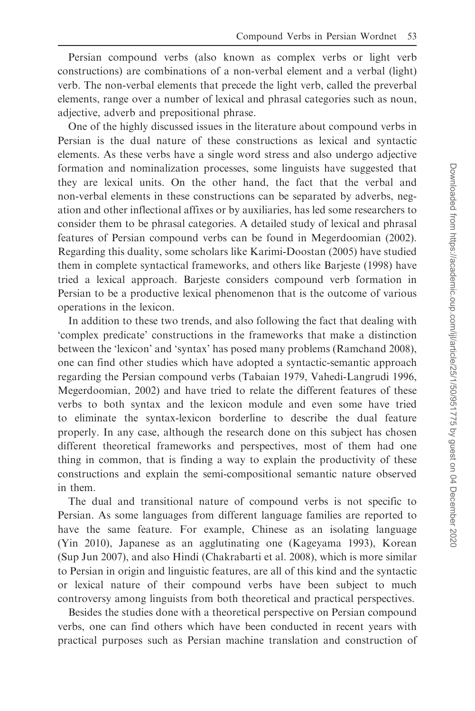Persian compound verbs (also known as complex verbs or light verb constructions) are combinations of a non-verbal element and a verbal (light) verb. The non-verbal elements that precede the light verb, called the preverbal elements, range over a number of lexical and phrasal categories such as noun, adjective, adverb and prepositional phrase.

One of the highly discussed issues in the literature about compound verbs in Persian is the dual nature of these constructions as lexical and syntactic elements. As these verbs have a single word stress and also undergo adjective formation and nominalization processes, some linguists have suggested that they are lexical units. On the other hand, the fact that the verbal and non-verbal elements in these constructions can be separated by adverbs, negation and other inflectional affixes or by auxiliaries, has led some researchers to consider them to be phrasal categories. A detailed study of lexical and phrasal features of Persian compound verbs can be found in [Megerdoomian \(2002\).](#page-16-0) Regarding this duality, some scholars like [Karimi-Doostan \(2005\)](#page-16-0) have studied them in complete syntactical frameworks, and others like [Barjeste \(1998\)](#page-15-0) have tried a lexical approach. Barjeste considers compound verb formation in Persian to be a productive lexical phenomenon that is the outcome of various operations in the lexicon.

In addition to these two trends, and also following the fact that dealing with 'complex predicate' constructions in the frameworks that make a distinction between the 'lexicon' and 'syntax' has posed many problems [\(Ramchand 2008](#page-16-0)), one can find other studies which have adopted a syntactic-semantic approach regarding the Persian compound verbs ([Tabaian 1979, Vahedi-Langrudi 1996,](#page-17-0) [Megerdoomian, 2002](#page-16-0)) and have tried to relate the different features of these verbs to both syntax and the lexicon module and even some have tried to eliminate the syntax-lexicon borderline to describe the dual feature properly. In any case, although the research done on this subject has chosen different theoretical frameworks and perspectives, most of them had one thing in common, that is finding a way to explain the productivity of these constructions and explain the semi-compositional semantic nature observed in them.

The dual and transitional nature of compound verbs is not specific to Persian. As some languages from different language families are reported to have the same feature. For example, Chinese as an isolating language [\(Yin 2010\)](#page-17-0), Japanese as an agglutinating one ([Kageyama 1993](#page-16-0)), Korean [\(Sup Jun 2007](#page-17-0)), and also Hindi [\(Chakrabarti et al. 2008](#page-15-0)), which is more similar to Persian in origin and linguistic features, are all of this kind and the syntactic or lexical nature of their compound verbs have been subject to much controversy among linguists from both theoretical and practical perspectives.

Besides the studies done with a theoretical perspective on Persian compound verbs, one can find others which have been conducted in recent years with practical purposes such as Persian machine translation and construction of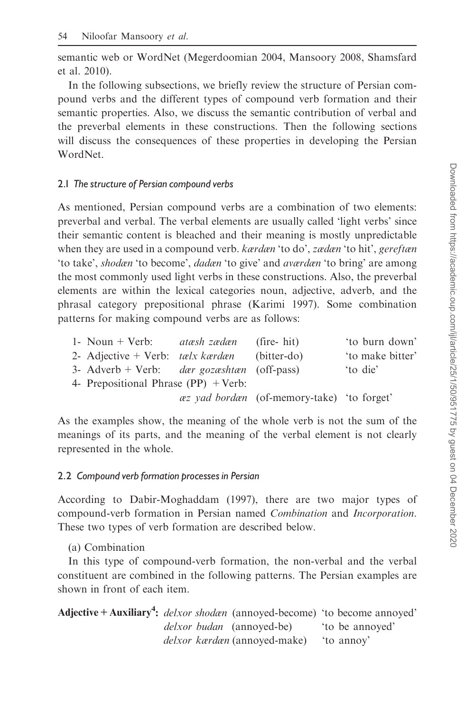semantic web or WordNet ([Megerdoomian 2004](#page-16-0), [Mansoory 2008,](#page-16-0) [Shamsfard](#page-17-0) [et al. 2010](#page-17-0)).

In the following subsections, we briefly review the structure of Persian compound verbs and the different types of compound verb formation and their semantic properties. Also, we discuss the semantic contribution of verbal and the preverbal elements in these constructions. Then the following sections will discuss the consequences of these properties in developing the Persian WordNet.

# 2.1 The structure of Persian compound verbs

As mentioned, Persian compound verbs are a combination of two elements: preverbal and verbal. The verbal elements are usually called 'light verbs' since their semantic content is bleached and their meaning is mostly unpredictable when they are used in a compound verb. kærdæn 'to do', zædæn 'to hit', gereftæn 'to take', shodæn 'to become', dadæn 'to give' and aværdæn 'to bring' are among the most commonly used light verbs in these constructions. Also, the preverbal elements are within the lexical categories noun, adjective, adverb, and the phrasal category prepositional phrase ([Karimi 1997\)](#page-16-0). Some combination patterns for making compound verbs are as follows:

| $1 - Noun + Verb$ :                                 | atæsh zædæn | $(fire-hit)$                                      | 'to burn down'   |
|-----------------------------------------------------|-------------|---------------------------------------------------|------------------|
| 2- Adjective + Verb: <i>talx kardan</i> (bitter-do) |             |                                                   | 'to make bitter' |
| 3- Adverb + Verb: <i>dar gozashtan</i> (off-pass)   |             |                                                   | to die'          |
| 4- Prepositional Phrase $(PP)$ + Verb:              |             |                                                   |                  |
|                                                     |             | <i>az yad bordan</i> (of-memory-take) 'to forget' |                  |

As the examples show, the meaning of the whole verb is not the sum of the meanings of its parts, and the meaning of the verbal element is not clearly represented in the whole.

# 2.2 Compound verb formation processes in Persian

According to [Dabir-Moghaddam \(1997\),](#page-16-0) there are two major types of compound-verb formation in Persian named Combination and Incorporation. These two types of verb formation are described below.

(a) Combination

In this type of compound-verb formation, the non-verbal and the verbal constituent are combined in the following patterns. The Persian examples are shown in front of each item.

Adjective + Auxiliary<sup>4</sup>: *delxor shodæn* (annoyed-become) 'to become annoyed' delxor budan (annoyed-be) 'to be annoyed' delxor kærdæn (annoyed-make) 'to annoy'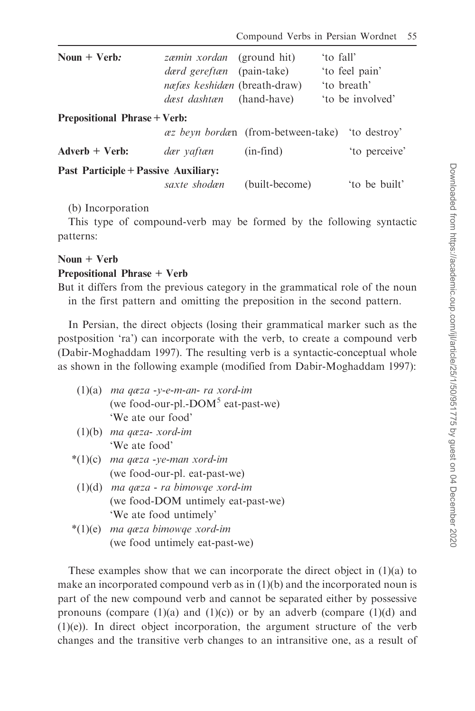| Noun $+$ Verb:                       | zæmin xordan (ground hit)        |                                            | 'to fall' |                  |
|--------------------------------------|----------------------------------|--------------------------------------------|-----------|------------------|
|                                      | <i>dærd gereftæn</i> (pain-take) |                                            |           | 'to feel pain'   |
|                                      | næfæs keshidæn (breath-draw)     |                                            |           | 'to breath'      |
|                                      | <i>dæst dashtæn</i> (hand-have)  |                                            |           | 'to be involved' |
| <b>Prepositional Phrase + Verb:</b>  |                                  |                                            |           |                  |
|                                      |                                  | <i>az beyn borda</i> n (from-between-take) |           | 'to destroy'     |
| $Adverb + Verb:$                     | dær yaftæn                       | $(in-find)$                                |           | 'to perceive'    |
| Past Participle + Passive Auxiliary: |                                  |                                            |           |                  |
|                                      | saxte shodæn                     | (built-become)                             |           | to be built'     |

(b) Incorporation

This type of compound-verb may be formed by the following syntactic patterns:

## Noun  $+$  Verb

## Prepositional Phrase + Verb

But it differs from the previous category in the grammatical role of the noun in the first pattern and omitting the preposition in the second pattern.

In Persian, the direct objects (losing their grammatical marker such as the postposition 'ra') can incorporate with the verb, to create a compound verb [\(Dabir-Moghaddam 1997\)](#page-16-0). The resulting verb is a syntactic-conceptual whole as shown in the following example (modified from [Dabir-Moghaddam 1997\)](#page-16-0):

- (1)(a) ma  $q$ æza -y-e-m-an- ra xord-im (we food-our-pl.- $DOM<sup>5</sup>$  eat-past-we) 'We ate our food'
- (1)(b) ma qæza- xord-im 'We ate food'
- $*(1)(c)$  ma qæza -ye-man xord-im (we food-our-pl. eat-past-we)
- (1)(d) ma qæza ra bimowqe xord-im (we food-DOM untimely eat-past-we) 'We ate food untimely'
- \*(1)(e) ma qæza bimowqe xord-im (we food untimely eat-past-we)

These examples show that we can incorporate the direct object in  $(1)(a)$  to make an incorporated compound verb as in  $(1)(b)$  and the incorporated noun is part of the new compound verb and cannot be separated either by possessive pronouns (compare  $(1)(a)$  and  $(1)(c)$ ) or by an adverb (compare  $(1)(d)$  and (1)(e)). In direct object incorporation, the argument structure of the verb changes and the transitive verb changes to an intransitive one, as a result of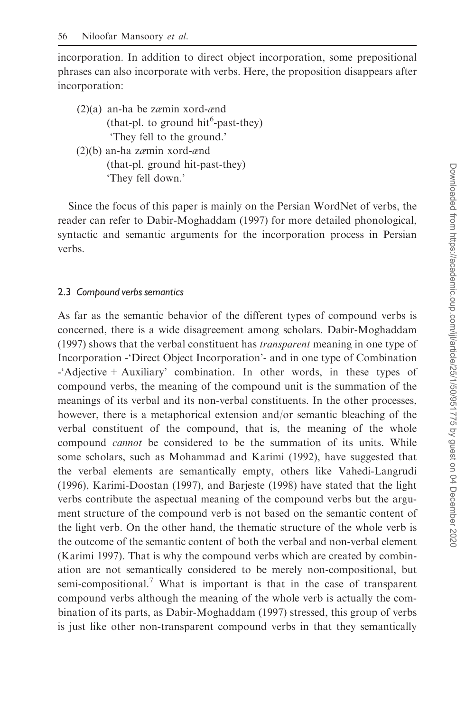incorporation. In addition to direct object incorporation, some prepositional phrases can also incorporate with verbs. Here, the proposition disappears after incorporation:

(2)(a) an-ha be zæmin xord-ænd (that-pl. to ground hit<sup>6</sup>-past-they) 'They fell to the ground.' (2)(b) an-ha zæmin xord-ænd (that-pl. ground hit-past-they)

'They fell down.'

Since the focus of this paper is mainly on the Persian WordNet of verbs, the reader can refer to [Dabir-Moghaddam \(1997\)](#page-16-0) for more detailed phonological, syntactic and semantic arguments for the incorporation process in Persian verbs.

#### 2.3 Compound verbs semantics

As far as the semantic behavior of the different types of compound verbs is concerned, there is a wide disagreement among scholars. [Dabir-Moghaddam](#page-16-0) [\(1997\)](#page-16-0) shows that the verbal constituent has transparent meaning in one type of Incorporation -'Direct Object Incorporation'- and in one type of Combination -'Adjective + Auxiliary' combination. In other words, in these types of compound verbs, the meaning of the compound unit is the summation of the meanings of its verbal and its non-verbal constituents. In the other processes, however, there is a metaphorical extension and/or semantic bleaching of the verbal constituent of the compound, that is, the meaning of the whole compound cannot be considered to be the summation of its units. While some scholars, such as [Mohammad and Karimi \(1992\),](#page-16-0) have suggested that the verbal elements are semantically empty, others like [Vahedi-Langrudi](#page-17-0) [\(1996\)](#page-17-0), [Karimi-Doostan \(1997\)](#page-16-0), and [Barjeste \(1998\)](#page-15-0) have stated that the light verbs contribute the aspectual meaning of the compound verbs but the argument structure of the compound verb is not based on the semantic content of the light verb. On the other hand, the thematic structure of the whole verb is the outcome of the semantic content of both the verbal and non-verbal element [\(Karimi 1997](#page-16-0)). That is why the compound verbs which are created by combination are not semantically considered to be merely non-compositional, but semi-compositional.<sup>7</sup> What is important is that in the case of transparent compound verbs although the meaning of the whole verb is actually the combination of its parts, as [Dabir-Moghaddam \(1997\)](#page-16-0) stressed, this group of verbs is just like other non-transparent compound verbs in that they semantically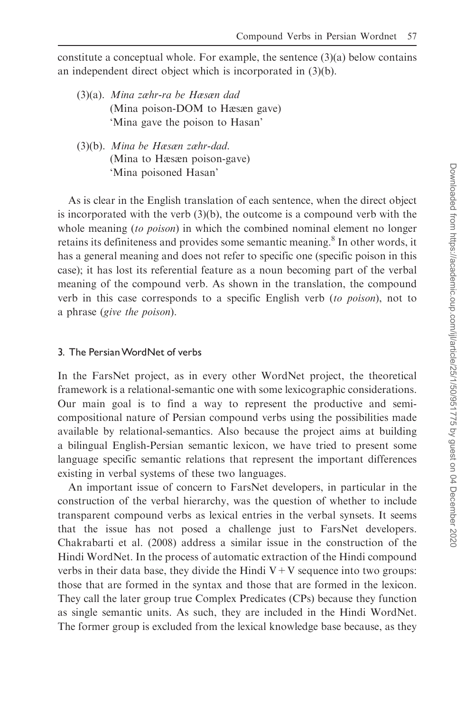constitute a conceptual whole. For example, the sentence  $(3)(a)$  below contains an independent direct object which is incorporated in (3)(b).

- (3)(a). Mina zæhr-ra be Hæsæn dad (Mina poison-DOM to Hæsæn gave) 'Mina gave the poison to Hasan'
- (3)(b). Mina be Hæsæn zæhr-dad. (Mina to Hæsæn poison-gave) 'Mina poisoned Hasan'

As is clear in the English translation of each sentence, when the direct object is incorporated with the verb (3)(b), the outcome is a compound verb with the whole meaning *(to poison)* in which the combined nominal element no longer retains its definiteness and provides some semantic meaning.<sup>8</sup> In other words, it has a general meaning and does not refer to specific one (specific poison in this case); it has lost its referential feature as a noun becoming part of the verbal meaning of the compound verb. As shown in the translation, the compound verb in this case corresponds to a specific English verb (to poison), not to a phrase (give the poison).

## 3. The PersianWordNet of verbs

In the FarsNet project, as in every other WordNet project, the theoretical framework is a relational-semantic one with some lexicographic considerations. Our main goal is to find a way to represent the productive and semicompositional nature of Persian compound verbs using the possibilities made available by relational-semantics. Also because the project aims at building a bilingual English-Persian semantic lexicon, we have tried to present some language specific semantic relations that represent the important differences existing in verbal systems of these two languages.

An important issue of concern to FarsNet developers, in particular in the construction of the verbal hierarchy, was the question of whether to include transparent compound verbs as lexical entries in the verbal synsets. It seems that the issue has not posed a challenge just to FarsNet developers. [Chakrabarti et al. \(2008\)](#page-15-0) address a similar issue in the construction of the Hindi WordNet. In the process of automatic extraction of the Hindi compound verbs in their data base, they divide the Hindi  $V+V$  sequence into two groups: those that are formed in the syntax and those that are formed in the lexicon. They call the later group true Complex Predicates (CPs) because they function as single semantic units. As such, they are included in the Hindi WordNet. The former group is excluded from the lexical knowledge base because, as they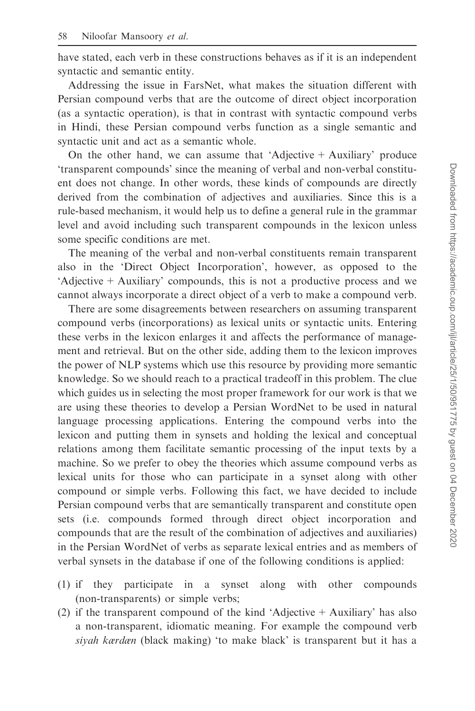have stated, each verb in these constructions behaves as if it is an independent syntactic and semantic entity.

Addressing the issue in FarsNet, what makes the situation different with Persian compound verbs that are the outcome of direct object incorporation (as a syntactic operation), is that in contrast with syntactic compound verbs in Hindi, these Persian compound verbs function as a single semantic and syntactic unit and act as a semantic whole.

On the other hand, we can assume that 'Adjective  $+$  Auxiliary' produce 'transparent compounds' since the meaning of verbal and non-verbal constituent does not change. In other words, these kinds of compounds are directly derived from the combination of adjectives and auxiliaries. Since this is a rule-based mechanism, it would help us to define a general rule in the grammar level and avoid including such transparent compounds in the lexicon unless some specific conditions are met.

The meaning of the verbal and non-verbal constituents remain transparent also in the 'Direct Object Incorporation', however, as opposed to the 'Adjective + Auxiliary' compounds, this is not a productive process and we cannot always incorporate a direct object of a verb to make a compound verb.

There are some disagreements between researchers on assuming transparent compound verbs (incorporations) as lexical units or syntactic units. Entering these verbs in the lexicon enlarges it and affects the performance of management and retrieval. But on the other side, adding them to the lexicon improves the power of NLP systems which use this resource by providing more semantic knowledge. So we should reach to a practical tradeoff in this problem. The clue which guides us in selecting the most proper framework for our work is that we are using these theories to develop a Persian WordNet to be used in natural language processing applications. Entering the compound verbs into the lexicon and putting them in synsets and holding the lexical and conceptual relations among them facilitate semantic processing of the input texts by a machine. So we prefer to obey the theories which assume compound verbs as lexical units for those who can participate in a synset along with other compound or simple verbs. Following this fact, we have decided to include Persian compound verbs that are semantically transparent and constitute open sets (i.e. compounds formed through direct object incorporation and compounds that are the result of the combination of adjectives and auxiliaries) in the Persian WordNet of verbs as separate lexical entries and as members of verbal synsets in the database if one of the following conditions is applied:

- (1) if they participate in a synset along with other compounds (non-transparents) or simple verbs;
- (2) if the transparent compound of the kind 'Adjective + Auxiliary' has also a non-transparent, idiomatic meaning. For example the compound verb siyah kærdæn (black making) 'to make black' is transparent but it has a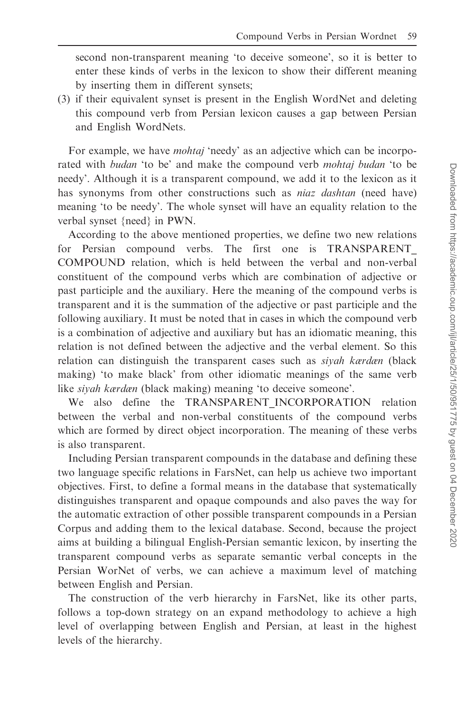second non-transparent meaning 'to deceive someone', so it is better to enter these kinds of verbs in the lexicon to show their different meaning by inserting them in different synsets;

(3) if their equivalent synset is present in the English WordNet and deleting this compound verb from Persian lexicon causes a gap between Persian and English WordNets.

For example, we have *mohtaj* 'needy' as an adjective which can be incorporated with budan 'to be' and make the compound verb mohtaj budan 'to be needy'. Although it is a transparent compound, we add it to the lexicon as it has synonyms from other constructions such as *niaz dashtan* (need have) meaning 'to be needy'. The whole synset will have an equality relation to the verbal synset {need} in PWN.

According to the above mentioned properties, we define two new relations for Persian compound verbs. The first one is TRANSPARENT COMPOUND relation, which is held between the verbal and non-verbal constituent of the compound verbs which are combination of adjective or past participle and the auxiliary. Here the meaning of the compound verbs is transparent and it is the summation of the adjective or past participle and the following auxiliary. It must be noted that in cases in which the compound verb is a combination of adjective and auxiliary but has an idiomatic meaning, this relation is not defined between the adjective and the verbal element. So this relation can distinguish the transparent cases such as siyah kærdæn (black making) 'to make black' from other idiomatic meanings of the same verb like siyah kærdæn (black making) meaning 'to deceive someone'.

We also define the TRANSPARENT INCORPORATION relation between the verbal and non-verbal constituents of the compound verbs which are formed by direct object incorporation. The meaning of these verbs is also transparent.

Including Persian transparent compounds in the database and defining these two language specific relations in FarsNet, can help us achieve two important objectives. First, to define a formal means in the database that systematically distinguishes transparent and opaque compounds and also paves the way for the automatic extraction of other possible transparent compounds in a Persian Corpus and adding them to the lexical database. Second, because the project aims at building a bilingual English-Persian semantic lexicon, by inserting the transparent compound verbs as separate semantic verbal concepts in the Persian WorNet of verbs, we can achieve a maximum level of matching between English and Persian.

The construction of the verb hierarchy in FarsNet, like its other parts, follows a top-down strategy on an expand methodology to achieve a high level of overlapping between English and Persian, at least in the highest levels of the hierarchy.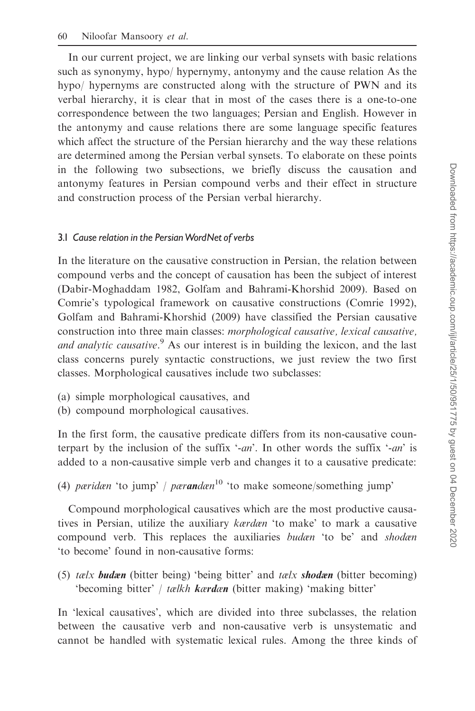In our current project, we are linking our verbal synsets with basic relations such as synonymy, hypo/ hypernymy, antonymy and the cause relation As the hypo/ hypernyms are constructed along with the structure of PWN and its verbal hierarchy, it is clear that in most of the cases there is a one-to-one correspondence between the two languages; Persian and English. However in the antonymy and cause relations there are some language specific features which affect the structure of the Persian hierarchy and the way these relations are determined among the Persian verbal synsets. To elaborate on these points in the following two subsections, we briefly discuss the causation and antonymy features in Persian compound verbs and their effect in structure and construction process of the Persian verbal hierarchy.

# 3.1 Cause relation in the Persian WordNet of verbs

In the literature on the causative construction in Persian, the relation between compound verbs and the concept of causation has been the subject of interest [\(Dabir-Moghaddam 1982](#page-16-0), [Golfam and Bahrami-Khorshid 2009\)](#page-16-0). Based on Comrie's typological framework on causative constructions ([Comrie 1992](#page-15-0)), [Golfam and Bahrami-Khorshid \(2009\)](#page-16-0) have classified the Persian causative construction into three main classes: morphological causative, lexical causative, and analytic causative.<sup>9</sup> As our interest is in building the lexicon, and the last class concerns purely syntactic constructions, we just review the two first classes. Morphological causatives include two subclasses:

- (a) simple morphological causatives, and
- (b) compound morphological causatives.

In the first form, the causative predicate differs from its non-causative counterpart by the inclusion of the suffix '-an'. In other words the suffix '-an' is added to a non-causative simple verb and changes it to a causative predicate:

(4) pæridæn 'to jump' / pærandæn<sup>10</sup> 'to make someone/something jump'

Compound morphological causatives which are the most productive causatives in Persian, utilize the auxiliary kærdæn 'to make' to mark a causative compound verb. This replaces the auxiliaries budæn 'to be' and shodæn 'to become' found in non-causative forms:

(5)  $tælx$  budæn (bitter being) 'being bitter' and  $tælx$  shodæn (bitter becoming) 'becoming bitter' / tælkh kærdæn (bitter making) 'making bitter'

In 'lexical causatives', which are divided into three subclasses, the relation between the causative verb and non-causative verb is unsystematic and cannot be handled with systematic lexical rules. Among the three kinds of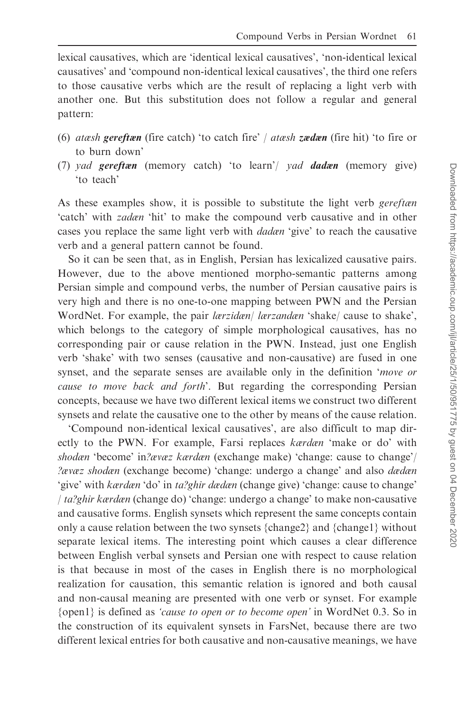lexical causatives, which are 'identical lexical causatives', 'non-identical lexical causatives' and 'compound non-identical lexical causatives', the third one refers to those causative verbs which are the result of replacing a light verb with another one. But this substitution does not follow a regular and general pattern:

- (6) atash gereftan (fire catch) 'to catch fire' / atash zadan (fire hit) 'to fire or to burn down'
- (7) yad gereftæn (memory catch) 'to learn'/ yad dadæn (memory give) 'to teach'

As these examples show, it is possible to substitute the light verb gereftæn 'catch' with zadæn 'hit' to make the compound verb causative and in other cases you replace the same light verb with dadæn 'give' to reach the causative verb and a general pattern cannot be found.

So it can be seen that, as in English, Persian has lexicalized causative pairs. However, due to the above mentioned morpho-semantic patterns among Persian simple and compound verbs, the number of Persian causative pairs is very high and there is no one-to-one mapping between PWN and the Persian WordNet. For example, the pair lærzidæn/ lærzandæn 'shake/ cause to shake', which belongs to the category of simple morphological causatives, has no corresponding pair or cause relation in the PWN. Instead, just one English verb 'shake' with two senses (causative and non-causative) are fused in one synset, and the separate senses are available only in the definition '*move or* cause to move back and forth'. But regarding the corresponding Persian concepts, because we have two different lexical items we construct two different synsets and relate the causative one to the other by means of the cause relation.

'Compound non-identical lexical causatives', are also difficult to map directly to the PWN. For example, Farsi replaces kærdæn 'make or do' with shodæn 'become' in?ævæz kærdæn (exchange make) 'change: cause to change'/ ?ævæz shodæn (exchange become) 'change: undergo a change' and also dædæn 'give' with kærdæn 'do' in ta?ghir dædæn (change give) 'change: cause to change' / ta?ghir kærdæn (change do) 'change: undergo a change' to make non-causative and causative forms. English synsets which represent the same concepts contain only a cause relation between the two synsets {change2} and {change1} without separate lexical items. The interesting point which causes a clear difference between English verbal synsets and Persian one with respect to cause relation is that because in most of the cases in English there is no morphological realization for causation, this semantic relation is ignored and both causal and non-causal meaning are presented with one verb or synset. For example {open1} is defined as 'cause to open or to become open' in WordNet 0.3. So in the construction of its equivalent synsets in FarsNet, because there are two different lexical entries for both causative and non-causative meanings, we have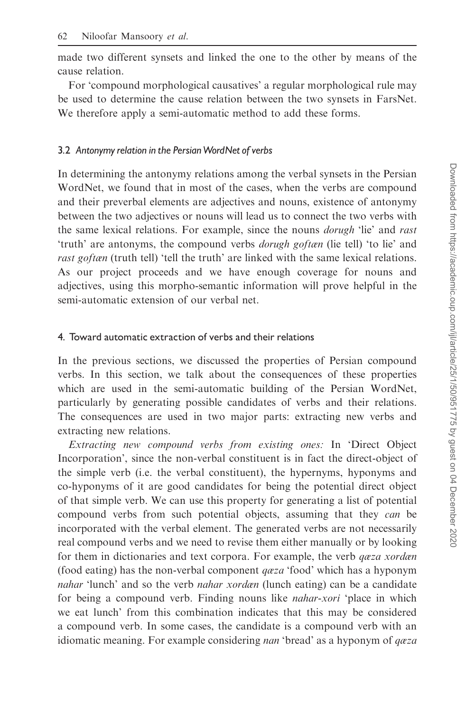made two different synsets and linked the one to the other by means of the cause relation.

For 'compound morphological causatives' a regular morphological rule may be used to determine the cause relation between the two synsets in FarsNet. We therefore apply a semi-automatic method to add these forms.

#### 3.2 Antonymy relation in the Persian WordNet of verbs

In determining the antonymy relations among the verbal synsets in the Persian WordNet, we found that in most of the cases, when the verbs are compound and their preverbal elements are adjectives and nouns, existence of antonymy between the two adjectives or nouns will lead us to connect the two verbs with the same lexical relations. For example, since the nouns dorugh 'lie' and rast 'truth' are antonyms, the compound verbs dorugh goftæn (lie tell) 'to lie' and rast goftæn (truth tell) 'tell the truth' are linked with the same lexical relations. As our project proceeds and we have enough coverage for nouns and adjectives, using this morpho-semantic information will prove helpful in the semi-automatic extension of our verbal net.

#### 4. Toward automatic extraction of verbs and their relations

In the previous sections, we discussed the properties of Persian compound verbs. In this section, we talk about the consequences of these properties which are used in the semi-automatic building of the Persian WordNet, particularly by generating possible candidates of verbs and their relations. The consequences are used in two major parts: extracting new verbs and extracting new relations.

Extracting new compound verbs from existing ones: In 'Direct Object Incorporation', since the non-verbal constituent is in fact the direct-object of the simple verb (i.e. the verbal constituent), the hypernyms, hyponyms and co-hyponyms of it are good candidates for being the potential direct object of that simple verb. We can use this property for generating a list of potential compound verbs from such potential objects, assuming that they *can* be incorporated with the verbal element. The generated verbs are not necessarily real compound verbs and we need to revise them either manually or by looking for them in dictionaries and text corpora. For example, the verb qæza xordæn (food eating) has the non-verbal component  $q\alpha z a$  'food' which has a hyponym nahar 'lunch' and so the verb nahar xordæn (lunch eating) can be a candidate for being a compound verb. Finding nouns like nahar-xori 'place in which we eat lunch' from this combination indicates that this may be considered a compound verb. In some cases, the candidate is a compound verb with an idiomatic meaning. For example considering *nan* 'bread' as a hyponym of  $q$ *a* $z$ *a*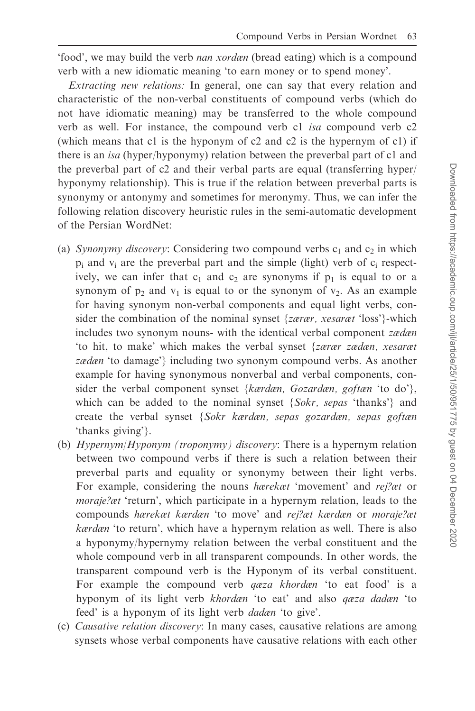'food', we may build the verb nan xordæn (bread eating) which is a compound verb with a new idiomatic meaning 'to earn money or to spend money'.

Extracting new relations: In general, one can say that every relation and characteristic of the non-verbal constituents of compound verbs (which do not have idiomatic meaning) may be transferred to the whole compound verb as well. For instance, the compound verb c1 isa compound verb c2 (which means that c1 is the hyponym of c2 and c2 is the hypernym of c1) if there is an isa (hyper/hyponymy) relation between the preverbal part of c1 and the preverbal part of c2 and their verbal parts are equal (transferring hyper/ hyponymy relationship). This is true if the relation between preverbal parts is synonymy or antonymy and sometimes for meronymy. Thus, we can infer the following relation discovery heuristic rules in the semi-automatic development of the Persian WordNet:

- (a) Synonymy discovery: Considering two compound verbs  $c_1$  and  $c_2$  in which  $p_i$  and  $v_i$  are the preverbal part and the simple (light) verb of  $c_i$  respectively, we can infer that  $c_1$  and  $c_2$  are synonyms if  $p_1$  is equal to or a synonym of  $p_2$  and  $v_1$  is equal to or the synonym of  $v_2$ . As an example for having synonym non-verbal components and equal light verbs, consider the combination of the nominal synset {zærær, xesaræt 'loss'}-which includes two synonym nouns- with the identical verbal component zædæn 'to hit, to make' which makes the verbal synset {zærær zædæn, xesaræt zædæn 'to damage'} including two synonym compound verbs. As another example for having synonymous nonverbal and verbal components, consider the verbal component synset {kærdæn, Gozardæn, goftæn 'to do'}, which can be added to the nominal synset {Sokr, sepas 'thanks'} and create the verbal synset {Sokr kærdæn, sepas gozardæn, sepas goftæn 'thanks giving'}.
- (b)  $Hypernym/Hyponym (troponymy) discovery: There is a hypernym relation$ between two compound verbs if there is such a relation between their preverbal parts and equality or synonymy between their light verbs. For example, considering the nouns harekat 'movement' and rej?at or *moraje?æt* 'return', which participate in a hypernym relation, leads to the compounds hærekæt kærdæn 'to move' and rej?æt kærdæn or moraje?æt kærdæn 'to return', which have a hypernym relation as well. There is also a hyponymy/hypernymy relation between the verbal constituent and the whole compound verb in all transparent compounds. In other words, the transparent compound verb is the Hyponym of its verbal constituent. For example the compound verb qæza khordæn 'to eat food' is a hyponym of its light verb khordæn 'to eat' and also qæza dadæn 'to feed' is a hyponym of its light verb dadæn 'to give'.
- (c) Causative relation discovery: In many cases, causative relations are among synsets whose verbal components have causative relations with each other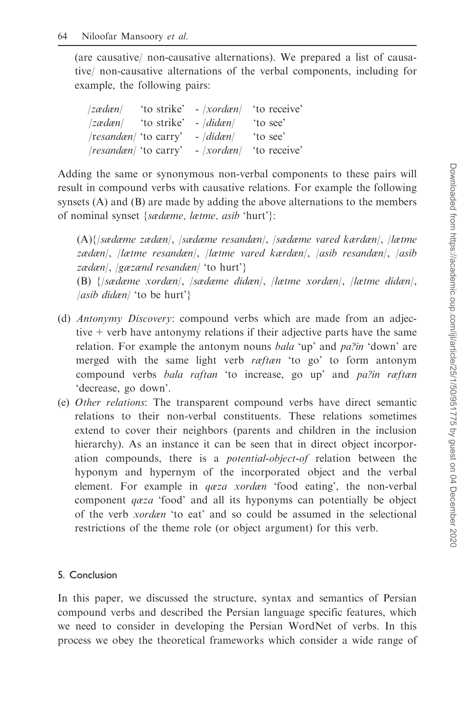(are causative/ non-causative alternations). We prepared a list of causative/ non-causative alternations of the verbal components, including for example, the following pairs:

| $ z$ <i>adan</i> $ $ | 'to strike'                  | $ \vert x$ ordæn $\vert$ | 'to receive' |
|----------------------|------------------------------|--------------------------|--------------|
| zædæn                | 'to strike'                  | - /didæn/                | 'to see'     |
|                      | <i>resandæn</i> / 'to carry' | - /didæn/                | 'to see'     |
|                      | <i>resandæn</i> / 'to carry' | $ \vert x \text{$ }      | 'to receive' |

Adding the same or synonymous non-verbal components to these pairs will result in compound verbs with causative relations. For example the following synsets  $(A)$  and  $(B)$  are made by adding the above alternations to the members of nominal synset {sædæme, lætme, asib 'hurt'}:

(A){/sædæme zædæn/, /sædæme resandæn/, /sædæme vared kærdæn/, /lætme zædæn/, /lætme resandæn/, /lætme vared kærdæn/, /asib resandæn/, /asib zædæn/, /gæzænd resandæn/ 'to hurt'}

(B) {/sædæme xordæn/, /sædæme didæn/, /lætme xordæn/, /lætme didæn/, /asib didæn/ 'to be hurt'}

- (d) Antonymy Discovery: compound verbs which are made from an adjective  $+$  verb have antonymy relations if their adjective parts have the same relation. For example the antonym nouns *bala* 'up' and *pa?in* 'down' are merged with the same light verb *ræftæn* 'to go' to form antonym compound verbs bala raftan 'to increase, go up' and pa?in ræftæn 'decrease, go down'.
- (e) Other relations: The transparent compound verbs have direct semantic relations to their non-verbal constituents. These relations sometimes extend to cover their neighbors (parents and children in the inclusion hierarchy). As an instance it can be seen that in direct object incorporation compounds, there is a potential-object-of relation between the hyponym and hypernym of the incorporated object and the verbal element. For example in qæza xordæn 'food eating', the non-verbal component qæza 'food' and all its hyponyms can potentially be object of the verb xordæn 'to eat' and so could be assumed in the selectional restrictions of the theme role (or object argument) for this verb.

# 5. Conclusion

In this paper, we discussed the structure, syntax and semantics of Persian compound verbs and described the Persian language specific features, which we need to consider in developing the Persian WordNet of verbs. In this process we obey the theoretical frameworks which consider a wide range of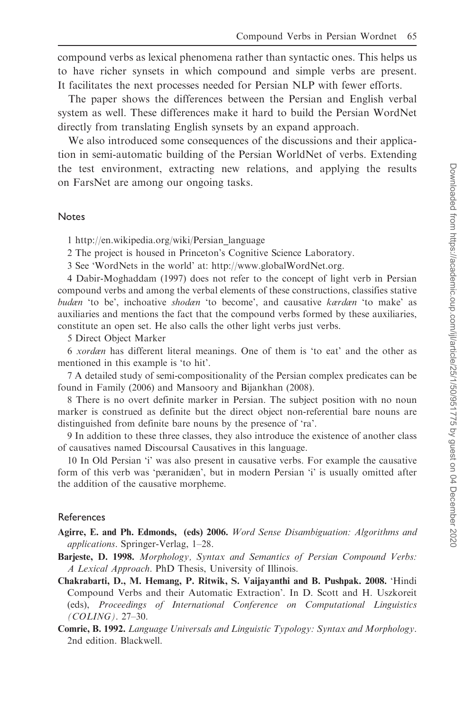<span id="page-15-0"></span>compound verbs as lexical phenomena rather than syntactic ones. This helps us to have richer synsets in which compound and simple verbs are present. It facilitates the next processes needed for Persian NLP with fewer efforts.

The paper shows the differences between the Persian and English verbal system as well. These differences make it hard to build the Persian WordNet directly from translating English synsets by an expand approach.

We also introduced some consequences of the discussions and their application in semi-automatic building of the Persian WorldNet of verbs. Extending the test environment, extracting new relations, and applying the results on FarsNet are among our ongoing tasks.

#### **Notes**

1 http://en.wikipedia.org/wiki/Persian\_language

2 The project is housed in Princeton's Cognitive Science Laboratory.

3 See 'WordNets in the world' at: http://www.globalWordNet.org.

4 [Dabir-Moghaddam \(1997\)](#page-16-0) does not refer to the concept of light verb in Persian compound verbs and among the verbal elements of these constructions, classifies stative budæn 'to be', inchoative shodæn 'to become', and causative kærdæn 'to make' as auxiliaries and mentions the fact that the compound verbs formed by these auxiliaries, constitute an open set. He also calls the other light verbs just verbs.

5 Direct Object Marker

6 xordæn has different literal meanings. One of them is 'to eat' and the other as mentioned in this example is 'to hit'.

7 A detailed study of semi-compositionality of the Persian complex predicates can be found in [Family \(2006\)](#page-16-0) and [Mansoory and Bijankhan \(2008\).](#page-16-0)

8 There is no overt definite marker in Persian. The subject position with no noun marker is construed as definite but the direct object non-referential bare nouns are distinguished from definite bare nouns by the presence of 'ra'.

9 In addition to these three classes, they also introduce the existence of another class of causatives named Discoursal Causatives in this language.

10 In Old Persian 'i' was also present in causative verbs. For example the causative form of this verb was 'pæranidæn', but in modern Persian 'i' is usually omitted after the addition of the causative morpheme.

#### References

- Agirre, E. and Ph. Edmonds, (eds) 2006. Word Sense Disambiguation: Algorithms and applications. Springer-Verlag, 1–28.
- Barjeste, D. 1998. Morphology, Syntax and Semantics of Persian Compound Verbs: A Lexical Approach. PhD Thesis, University of Illinois.
- Chakrabarti, D., M. Hemang, P. Ritwik, S. Vaijayanthi and B. Pushpak. 2008. 'Hindi Compound Verbs and their Automatic Extraction'. In D. Scott and H. Uszkoreit (eds), Proceedings of International Conference on Computational Linguistics (COLING). 27–30.
- Comrie, B. 1992. Language Universals and Linguistic Typology: Syntax and Morphology. 2nd edition. Blackwell.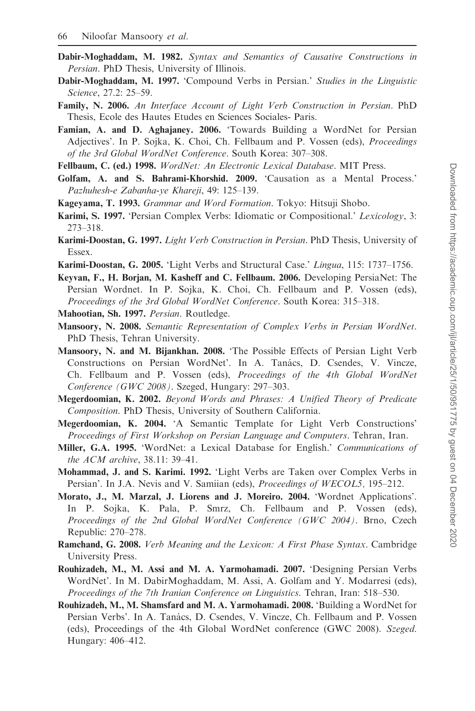- <span id="page-16-0"></span>Dabir-Moghaddam, M. 1982. Syntax and Semantics of Causative Constructions in Persian. PhD Thesis, University of Illinois.
- Dabir-Moghaddam, M. 1997. 'Compound Verbs in Persian.' Studies in the Linguistic Science, 27.2: 25–59.
- Family, N. 2006. An Interface Account of Light Verb Construction in Persian. PhD Thesis, Ecole des Hautes Etudes en Sciences Sociales- Paris.
- Famian, A. and D. Aghajaney. 2006. 'Towards Building a WordNet for Persian Adjectives'. In P. Sojka, K. Choi, Ch. Fellbaum and P. Vossen (eds), Proceedings of the 3rd Global WordNet Conference. South Korea: 307–308.
- Fellbaum, C. (ed.) 1998. WordNet: An Electronic Lexical Database. MIT Press.
- Golfam, A. and S. Bahrami-Khorshid. 2009. 'Causation as a Mental Process.' Pazhuhesh-e Zabanha-ye Khareji, 49: 125–139.
- Kageyama, T. 1993. Grammar and Word Formation. Tokyo: Hitsuji Shobo.
- Karimi, S. 1997. 'Persian Complex Verbs: Idiomatic or Compositional.' Lexicology, 3: 273–318.
- Karimi-Doostan, G. 1997. Light Verb Construction in Persian. PhD Thesis, University of Essex.
- Karimi-Doostan, G. 2005. 'Light Verbs and Structural Case.' Lingua, 115: 1737–1756.
- Keyvan, F., H. Borjan, M. Kasheff and C. Fellbaum. 2006. Developing PersiaNet: The Persian Wordnet. In P. Sojka, K. Choi, Ch. Fellbaum and P. Vossen (eds), Proceedings of the 3rd Global WordNet Conference. South Korea: 315–318.
- Mahootian, Sh. 1997. Persian. Routledge.
- Mansoory, N. 2008. Semantic Representation of Complex Verbs in Persian WordNet. PhD Thesis, Tehran University.
- Mansoory, N. and M. Bijankhan. 2008. 'The Possible Effects of Persian Light Verb Constructions on Persian WordNet'. In A. Tanács, D. Csendes, V. Vincze, Ch. Fellbaum and P. Vossen (eds), Proceedings of the 4th Global WordNet Conference (GWC 2008). Szeged, Hungary: 297–303.
- Megerdoomian, K. 2002. Beyond Words and Phrases: A Unified Theory of Predicate Composition. PhD Thesis, University of Southern California.
- Megerdoomian, K. 2004. 'A Semantic Template for Light Verb Constructions' Proceedings of First Workshop on Persian Language and Computers. Tehran, Iran.
- Miller, G.A. 1995. 'WordNet: a Lexical Database for English.' Communications of the ACM archive, 38.11: 39–41.
- Mohammad, J. and S. Karimi. 1992. 'Light Verbs are Taken over Complex Verbs in Persian'. In J.A. Nevis and V. Samiian (eds), *Proceedings of WECOL5*, 195–212.
- Morato, J., M. Marzal, J. Liorens and J. Moreiro. 2004. 'Wordnet Applications'. In P. Sojka, K. Pala, P. Smrz, Ch. Fellbaum and P. Vossen (eds), Proceedings of the 2nd Global WordNet Conference (GWC 2004). Brno, Czech Republic: 270–278.
- Ramchand, G. 2008. Verb Meaning and the Lexicon: A First Phase Syntax. Cambridge University Press.
- Rouhizadeh, M., M. Assi and M. A. Yarmohamadi. 2007. 'Designing Persian Verbs WordNet'. In M. DabirMoghaddam, M. Assi, A. Golfam and Y. Modarresi (eds), Proceedings of the 7th Iranian Conference on Linguistics. Tehran, Iran: 518–530.
- Rouhizadeh, M., M. Shamsfard and M. A. Yarmohamadi. 2008. 'Building a WordNet for Persian Verbs'. In A. Tanács, D. Csendes, V. Vincze, Ch. Fellbaum and P. Vossen (eds), Proceedings of the 4th Global WordNet conference (GWC 2008). Szeged. Hungary: 406–412.